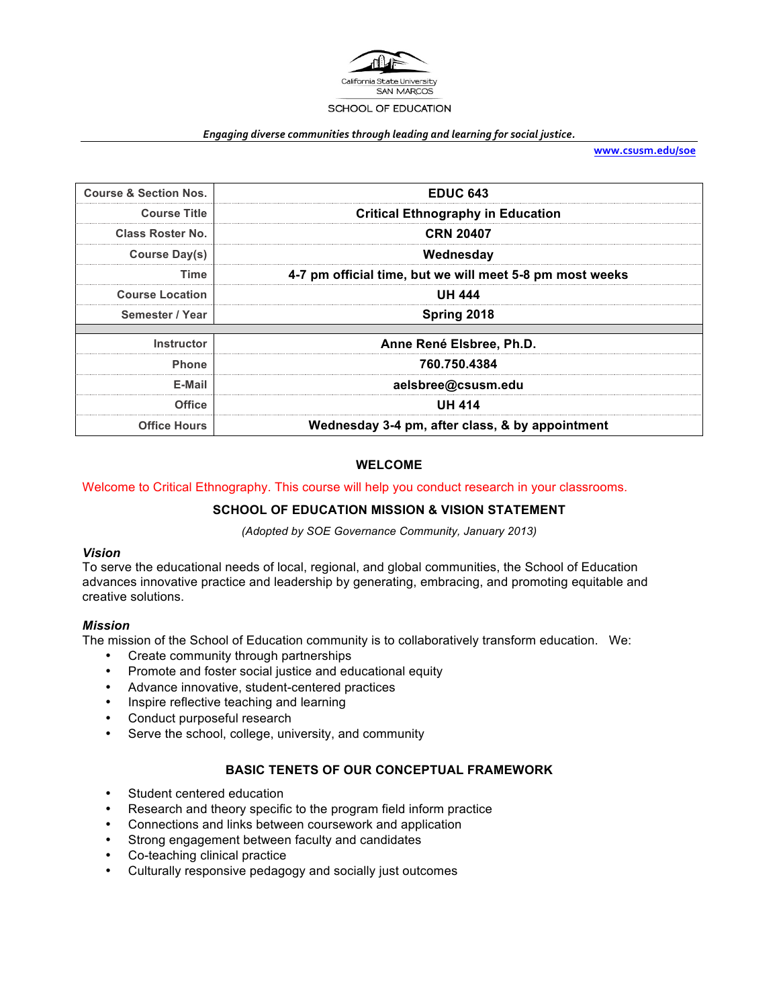

#### *Engaging diverse communities through leading and learning for social justice.*

**[www.csusm.edu/soe](http://www.csusm.edu/soe)**

| <b>Course &amp; Section Nos.</b> | <b>EDUC 643</b>                                          |
|----------------------------------|----------------------------------------------------------|
| <b>Course Title</b>              | <b>Critical Ethnography in Education</b>                 |
| <b>Class Roster No.</b>          | <b>CRN 20407</b>                                         |
| <b>Course Day(s)</b>             | Wednesday                                                |
| Time                             | 4-7 pm official time, but we will meet 5-8 pm most weeks |
| <b>Course Location</b>           | <b>UH 444</b>                                            |
| Semester / Year                  | Spring 2018                                              |
|                                  |                                                          |
| <b>Instructor</b>                | Anne René Elsbree, Ph.D.                                 |
| <b>Phone</b>                     | 760.750.4384                                             |
| E-Mail                           | aelsbree@csusm.edu                                       |
| Office                           | <b>UH 414</b>                                            |
| <b>Office Hours</b>              | Wednesday 3-4 pm, after class, & by appointment          |

## **WELCOME**

#### Welcome to Critical Ethnography. This course will help you conduct research in your classrooms.

#### **SCHOOL OF EDUCATION MISSION & VISION STATEMENT**

*(Adopted by SOE Governance Community, January 2013)*

### *Vision*

To serve the educational needs of local, regional, and global communities, the School of Education advances innovative practice and leadership by generating, embracing, and promoting equitable and creative solutions.

#### *Mission*

The mission of the School of Education community is to collaboratively transform education. We:

- Create community through partnerships
- Promote and foster social justice and educational equity
- Advance innovative, student-centered practices
- Inspire reflective teaching and learning
- Conduct purposeful research
- Serve the school, college, university, and community

#### **BASIC TENETS OF OUR CONCEPTUAL FRAMEWORK**

- Student centered education
- Research and theory specific to the program field inform practice
- Connections and links between coursework and application
- Strong engagement between faculty and candidates<br>• Co-teaching clinical practice
- Co-teaching clinical practice
- Culturally responsive pedagogy and socially just outcomes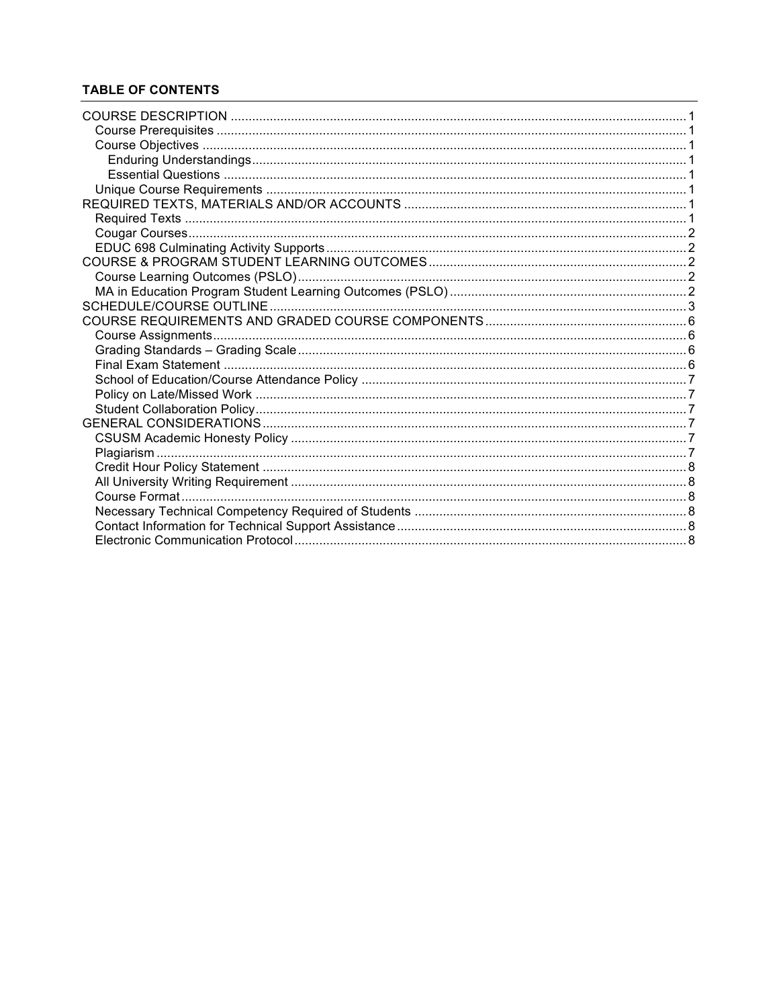# **TABLE OF CONTENTS**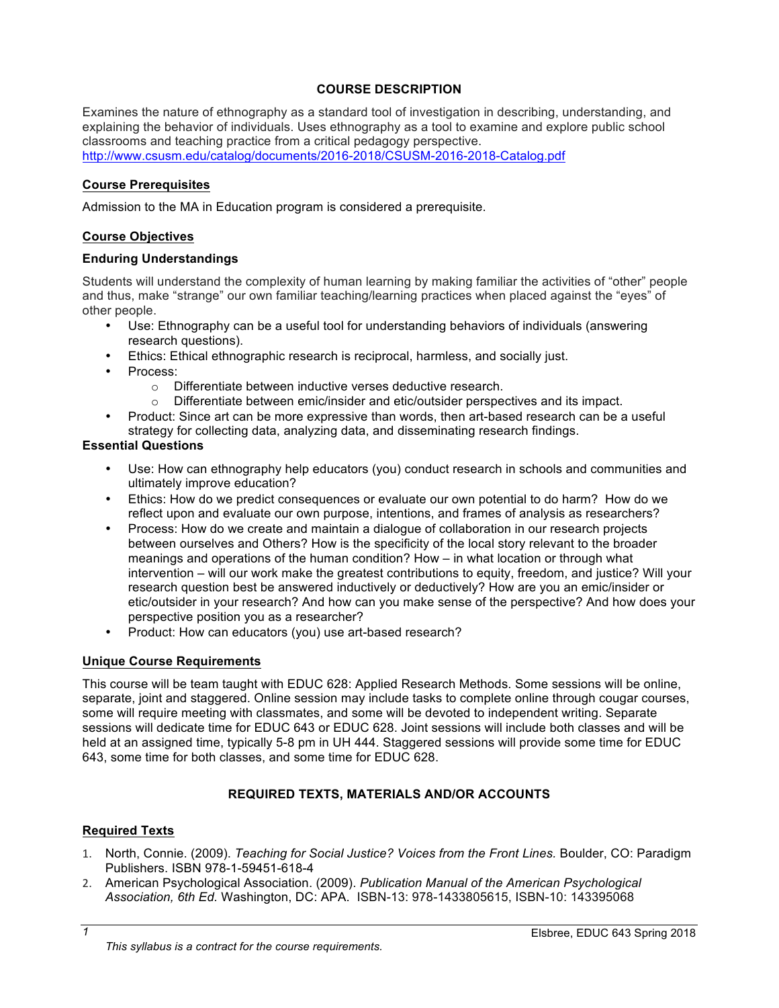## <span id="page-2-0"></span>**COURSE DESCRIPTION**

Examines the nature of ethnography as a standard tool of investigation in describing, understanding, and explaining the behavior of individuals. Uses ethnography as a tool to examine and explore public school classrooms and teaching practice from a critical pedagogy perspective. <http://www.csusm.edu/catalog/documents/2016-2018/CSUSM-2016-2018-Catalog.pdf>

### <span id="page-2-1"></span>**Course Prerequisites**

Admission to the MA in Education program is considered a prerequisite.

#### <span id="page-2-2"></span>**Course Objectives**

#### <span id="page-2-3"></span>**Enduring Understandings**

Students will understand the complexity of human learning by making familiar the activities of "other" people and thus, make "strange" our own familiar teaching/learning practices when placed against the "eyes" of other people.

- Use: Ethnography can be a useful tool for understanding behaviors of individuals (answering research questions).
- Ethics: Ethical ethnographic research is reciprocal, harmless, and socially just.
- Process:
	- o Differentiate between inductive verses deductive research.
	- $\circ$  Differentiate between emic/insider and etic/outsider perspectives and its impact.
- Product: Since art can be more expressive than words, then art-based research can be a useful strategy for collecting data, analyzing data, and disseminating research findings.

#### <span id="page-2-4"></span>**Essential Questions**

- Use: How can ethnography help educators (you) conduct research in schools and communities and ultimately improve education?
- Ethics: How do we predict consequences or evaluate our own potential to do harm? How do we reflect upon and evaluate our own purpose, intentions, and frames of analysis as researchers?
- Process: How do we create and maintain a dialogue of collaboration in our research projects between ourselves and Others? How is the specificity of the local story relevant to the broader meanings and operations of the human condition? How – in what location or through what intervention – will our work make the greatest contributions to equity, freedom, and justice? Will your research question best be answered inductively or deductively? How are you an emic/insider or etic/outsider in your research? And how can you make sense of the perspective? And how does your perspective position you as a researcher?
- Product: How can educators (you) use art-based research?

## <span id="page-2-5"></span>**Unique Course Requirements**

This course will be team taught with EDUC 628: Applied Research Methods. Some sessions will be online, separate, joint and staggered. Online session may include tasks to complete online through cougar courses, some will require meeting with classmates, and some will be devoted to independent writing. Separate sessions will dedicate time for EDUC 643 or EDUC 628. Joint sessions will include both classes and will be held at an assigned time, typically 5-8 pm in UH 444. Staggered sessions will provide some time for EDUC 643, some time for both classes, and some time for EDUC 628.

## <span id="page-2-6"></span>**REQUIRED TEXTS, MATERIALS AND/OR ACCOUNTS**

#### <span id="page-2-7"></span>**Required Texts**

- 1. North, Connie. (2009). *Teaching for Social Justice? Voices from the Front Lines.* Boulder, CO: Paradigm Publishers. ISBN 978-1-59451-618-4
- 2. American Psychological Association. (2009). *Publication Manual of the American Psychological Association, 6th Ed.* Washington, DC: APA. ISBN-13: 978-1433805615, ISBN-10: 143395068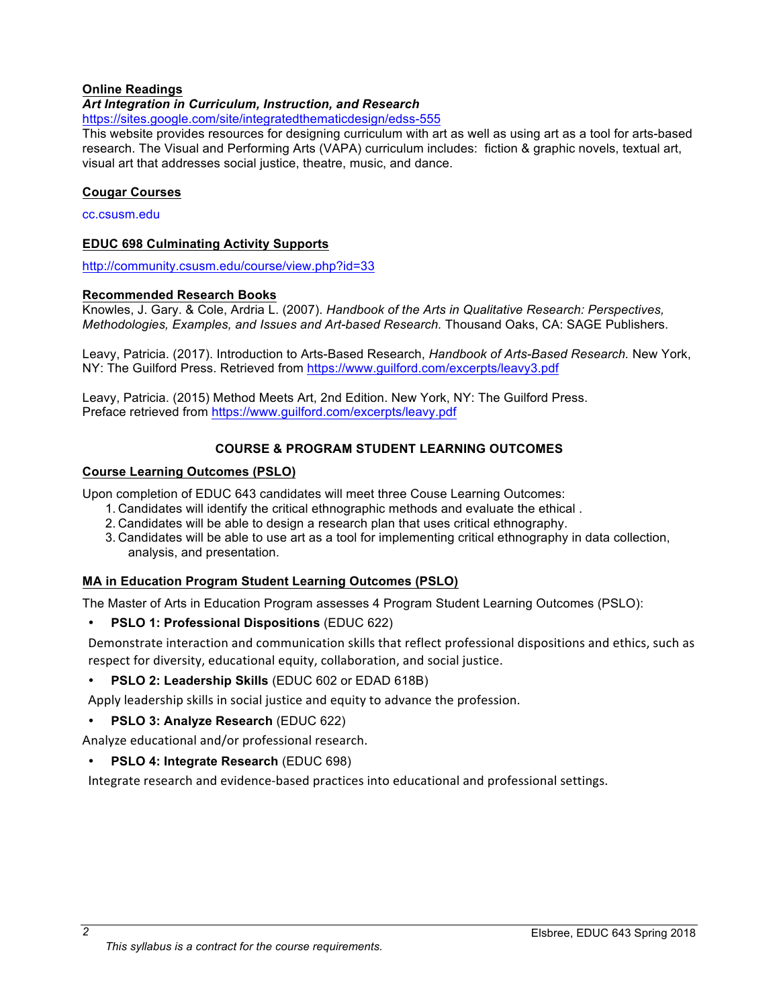### **Online Readings**

# *Art Integration in Curriculum, Instruction, and Research*

<https://sites.google.com/site/integratedthematicdesign/edss-555>

This website provides resources for designing curriculum with art as well as using art as a tool for arts-based research. The Visual and Performing Arts (VAPA) curriculum includes: fiction & graphic novels, textual art, visual art that addresses social justice, theatre, music, and dance.

#### <span id="page-3-0"></span>**Cougar Courses**

cc.csusm.edu

#### <span id="page-3-1"></span>**EDUC 698 Culminating Activity Supports**

<http://community.csusm.edu/course/view.php?id=33>

#### **Recommended Research Books**

Knowles, J. Gary. & Cole, Ardria L. (2007). *Handbook of the Arts in Qualitative Research: Perspectives, Methodologies, Examples, and Issues and Art-based Research.* Thousand Oaks, CA: SAGE Publishers.

Leavy, Patricia. (2017). Introduction to Arts-Based Research, *Handbook of Arts-Based Research.* New York, NY: The Guilford Press. Retrieved from<https://www.guilford.com/excerpts/leavy3.pdf>

Leavy, Patricia. (2015) Method Meets Art, 2nd Edition. New York, NY: The Guilford Press. Preface retrieved from<https://www.guilford.com/excerpts/leavy.pdf>

## <span id="page-3-2"></span>**COURSE & PROGRAM STUDENT LEARNING OUTCOMES**

#### <span id="page-3-3"></span>**Course Learning Outcomes (PSLO)**

Upon completion of EDUC 643 candidates will meet three Couse Learning Outcomes:

- 1. Candidates will identify the critical ethnographic methods and evaluate the ethical .
- 2. Candidates will be able to design a research plan that uses critical ethnography.
- 3. Candidates will be able to use art as a tool for implementing critical ethnography in data collection, analysis, and presentation.

## <span id="page-3-4"></span>**MA in Education Program Student Learning Outcomes (PSLO)**

The Master of Arts in Education Program assesses 4 Program Student Learning Outcomes (PSLO):

• **PSLO 1: Professional Dispositions** (EDUC 622)

Demonstrate interaction and communication skills that reflect professional dispositions and ethics, such as respect for diversity, educational equity, collaboration, and social justice.

• **PSLO 2: Leadership Skills** (EDUC 602 or EDAD 618B)

Apply leadership skills in social justice and equity to advance the profession.

• **PSLO 3: Analyze Research** (EDUC 622)

Analyze educational and/or professional research.

• **PSLO 4: Integrate Research** (EDUC 698)

Integrate research and evidence-based practices into educational and professional settings.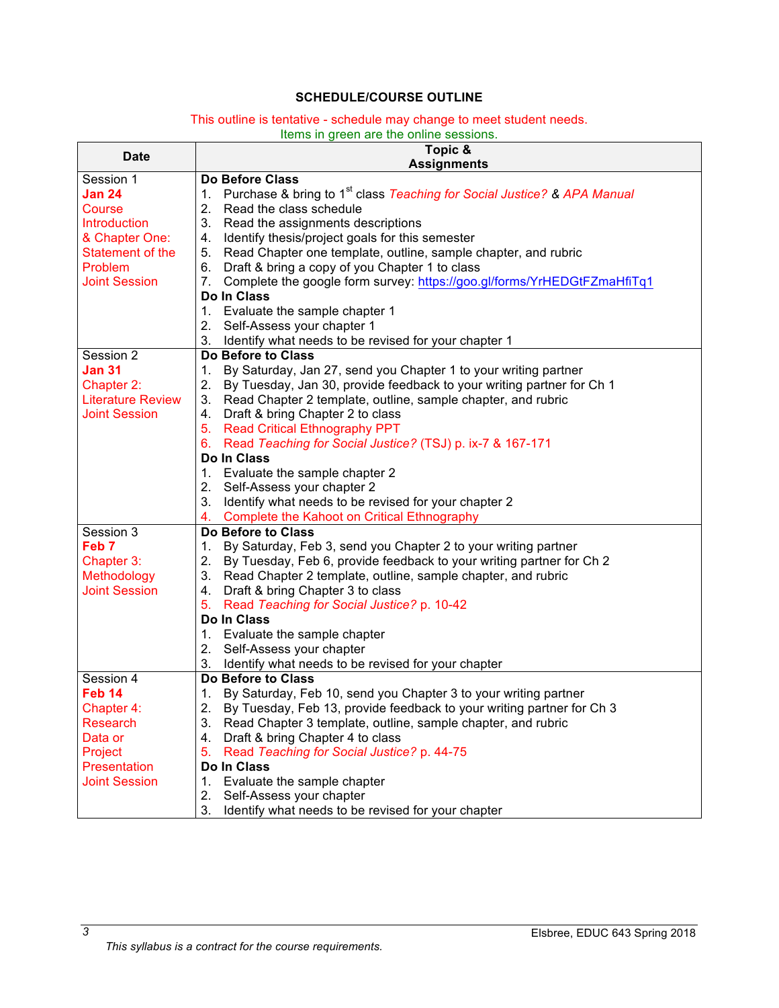### <span id="page-4-0"></span>**SCHEDULE/COURSE OUTLINE**

#### This outline is tentative - schedule may change to meet student needs.

Items in green are the online sessions.

| <b>Date</b>              | Topic &                                                                                |
|--------------------------|----------------------------------------------------------------------------------------|
|                          | <b>Assignments</b>                                                                     |
| Session 1                | Do Before Class                                                                        |
| <b>Jan 24</b>            | 1. Purchase & bring to 1 <sup>st</sup> class Teaching for Social Justice? & APA Manual |
| Course                   | 2. Read the class schedule                                                             |
| Introduction             | 3. Read the assignments descriptions                                                   |
| & Chapter One:           | Identify thesis/project goals for this semester<br>4.                                  |
| Statement of the         | Read Chapter one template, outline, sample chapter, and rubric<br>5.                   |
| Problem                  | Draft & bring a copy of you Chapter 1 to class<br>6.                                   |
| <b>Joint Session</b>     | Complete the google form survey: https://goo.gl/forms/YrHEDGtFZmaHfiTq1<br>7.          |
|                          | Do In Class                                                                            |
|                          | 1. Evaluate the sample chapter 1                                                       |
|                          | 2. Self-Assess your chapter 1                                                          |
|                          | 3.<br>Identify what needs to be revised for your chapter 1                             |
| Session 2                | Do Before to Class                                                                     |
| <b>Jan 31</b>            | By Saturday, Jan 27, send you Chapter 1 to your writing partner<br>1.                  |
| Chapter 2:               | 2.<br>By Tuesday, Jan 30, provide feedback to your writing partner for Ch 1            |
| <b>Literature Review</b> | 3.<br>Read Chapter 2 template, outline, sample chapter, and rubric                     |
| <b>Joint Session</b>     | Draft & bring Chapter 2 to class<br>4.                                                 |
|                          | 5. Read Critical Ethnography PPT                                                       |
|                          | 6. Read Teaching for Social Justice? (TSJ) p. ix-7 & 167-171                           |
|                          | Do In Class                                                                            |
|                          | 1. Evaluate the sample chapter 2                                                       |
|                          | 2. Self-Assess your chapter 2                                                          |
|                          | Identify what needs to be revised for your chapter 2<br>3.                             |
|                          | Complete the Kahoot on Critical Ethnography<br>4.                                      |
| Session 3                | Do Before to Class                                                                     |
| Feb <sub>7</sub>         | By Saturday, Feb 3, send you Chapter 2 to your writing partner<br>1.                   |
| Chapter 3:               | By Tuesday, Feb 6, provide feedback to your writing partner for Ch 2<br>2.             |
| Methodology              | 3. Read Chapter 2 template, outline, sample chapter, and rubric                        |
| <b>Joint Session</b>     | Draft & bring Chapter 3 to class<br>4.                                                 |
|                          | 5. Read Teaching for Social Justice? p. 10-42                                          |
|                          | Do In Class                                                                            |
|                          | 1. Evaluate the sample chapter                                                         |
|                          | 2. Self-Assess your chapter                                                            |
|                          | 3.<br>Identify what needs to be revised for your chapter                               |
| Session 4                | Do Before to Class                                                                     |
| Feb <sub>14</sub>        | 1. By Saturday, Feb 10, send you Chapter 3 to your writing partner                     |
| Chapter 4:               | By Tuesday, Feb 13, provide feedback to your writing partner for Ch 3<br>2.            |
| Research                 | Read Chapter 3 template, outline, sample chapter, and rubric                           |
| Data or                  | Draft & bring Chapter 4 to class<br>4.                                                 |
| Project                  | Read Teaching for Social Justice? p. 44-75<br>5.                                       |
| Presentation             | Do In Class                                                                            |
| <b>Joint Session</b>     | 1. Evaluate the sample chapter                                                         |
|                          | Self-Assess your chapter<br>2.                                                         |
|                          | Identify what needs to be revised for your chapter<br>3.                               |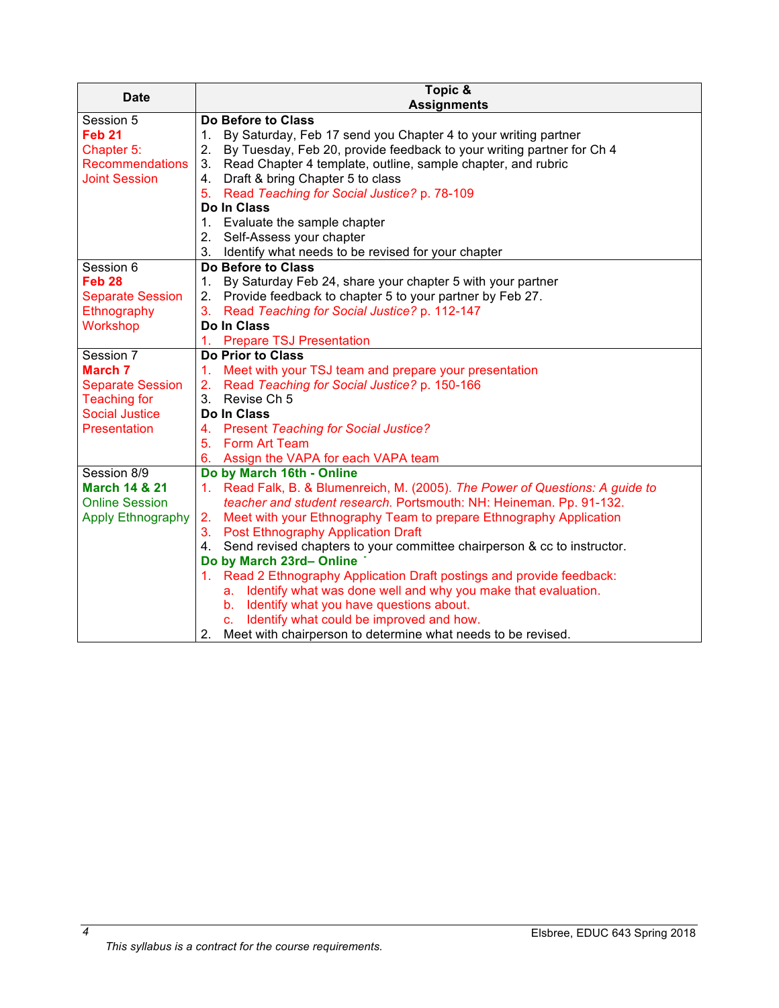| <b>Date</b>              | Topic &                                                                       |
|--------------------------|-------------------------------------------------------------------------------|
|                          | <b>Assignments</b>                                                            |
| Session 5                | Do Before to Class                                                            |
| <b>Feb 21</b>            | By Saturday, Feb 17 send you Chapter 4 to your writing partner<br>1.          |
| Chapter 5:               | 2.<br>By Tuesday, Feb 20, provide feedback to your writing partner for Ch 4   |
| <b>Recommendations</b>   | Read Chapter 4 template, outline, sample chapter, and rubric<br>3.            |
| <b>Joint Session</b>     | Draft & bring Chapter 5 to class<br>4.                                        |
|                          | 5. Read Teaching for Social Justice? p. 78-109                                |
|                          | Do In Class                                                                   |
|                          | 1. Evaluate the sample chapter                                                |
|                          | 2. Self-Assess your chapter                                                   |
|                          | 3.<br>Identify what needs to be revised for your chapter                      |
| Session 6                | Do Before to Class                                                            |
| Feb <sub>28</sub>        | 1. By Saturday Feb 24, share your chapter 5 with your partner                 |
| <b>Separate Session</b>  | 2. Provide feedback to chapter 5 to your partner by Feb 27.                   |
| Ethnography              | 3.<br>Read Teaching for Social Justice? p. 112-147                            |
| Workshop                 | Do In Class                                                                   |
|                          | 1. Prepare TSJ Presentation                                                   |
| Session 7                | <b>Do Prior to Class</b>                                                      |
| <b>March 7</b>           | 1. Meet with your TSJ team and prepare your presentation                      |
| <b>Separate Session</b>  | 2. Read Teaching for Social Justice? p. 150-166                               |
| <b>Teaching for</b>      | Revise Ch <sub>5</sub><br>3.                                                  |
| <b>Social Justice</b>    | Do In Class                                                                   |
| Presentation             | 4. Present Teaching for Social Justice?                                       |
|                          | 5. Form Art Team                                                              |
|                          | 6.<br>Assign the VAPA for each VAPA team                                      |
| Session 8/9              | Do by March 16th - Online                                                     |
| <b>March 14 &amp; 21</b> | 1. Read Falk, B. & Blumenreich, M. (2005). The Power of Questions: A guide to |
| <b>Online Session</b>    | teacher and student research. Portsmouth: NH: Heineman. Pp. 91-132.           |
| <b>Apply Ethnography</b> | Meet with your Ethnography Team to prepare Ethnography Application<br>2.      |
|                          | 3. Post Ethnography Application Draft                                         |
|                          | Send revised chapters to your committee chairperson & cc to instructor.<br>4. |
|                          | Do by March 23rd-Online                                                       |
|                          | 1. Read 2 Ethnography Application Draft postings and provide feedback:        |
|                          | a. Identify what was done well and why you make that evaluation.              |
|                          | b. Identify what you have questions about.                                    |
|                          | Identify what could be improved and how.<br>C.                                |
|                          | Meet with chairperson to determine what needs to be revised.<br>2.            |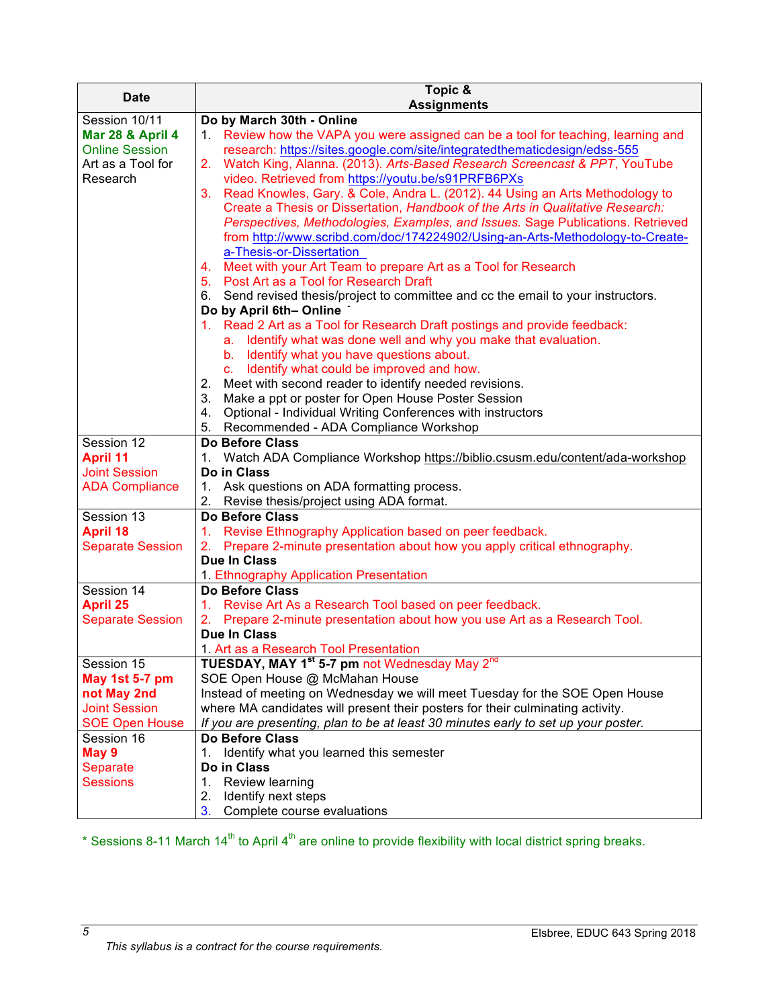| <b>Date</b>             | Topic &                                                                                                         |
|-------------------------|-----------------------------------------------------------------------------------------------------------------|
|                         | <b>Assignments</b>                                                                                              |
| Session 10/11           | Do by March 30th - Online                                                                                       |
| Mar 28 & April 4        | 1. Review how the VAPA you were assigned can be a tool for teaching, learning and                               |
| <b>Online Session</b>   | research: https://sites.google.com/site/integratedthematicdesign/edss-555                                       |
| Art as a Tool for       | 2. Watch King, Alanna. (2013). Arts-Based Research Screencast & PPT, YouTube                                    |
| Research                | video. Retrieved from https://youtu.be/s91PRFB6PXs                                                              |
|                         | Read Knowles, Gary. & Cole, Andra L. (2012). 44 Using an Arts Methodology to<br>3.                              |
|                         | Create a Thesis or Dissertation, Handbook of the Arts in Qualitative Research:                                  |
|                         | Perspectives, Methodologies, Examples, and Issues. Sage Publications. Retrieved                                 |
|                         | from http://www.scribd.com/doc/174224902/Using-an-Arts-Methodology-to-Create-                                   |
|                         | a-Thesis-or-Dissertation                                                                                        |
|                         | 4. Meet with your Art Team to prepare Art as a Tool for Research                                                |
|                         | 5. Post Art as a Tool for Research Draft                                                                        |
|                         | 6. Send revised thesis/project to committee and cc the email to your instructors.                               |
|                         | Do by April 6th-Online                                                                                          |
|                         | 1. Read 2 Art as a Tool for Research Draft postings and provide feedback:                                       |
|                         | a. Identify what was done well and why you make that evaluation.                                                |
|                         | b. Identify what you have questions about.                                                                      |
|                         | c. Identify what could be improved and how.                                                                     |
|                         | Meet with second reader to identify needed revisions.<br>2.                                                     |
|                         | 3. Make a ppt or poster for Open House Poster Session                                                           |
|                         | 4. Optional - Individual Writing Conferences with instructors                                                   |
|                         | 5. Recommended - ADA Compliance Workshop                                                                        |
| Session 12              | <b>Do Before Class</b>                                                                                          |
| <b>April 11</b>         | 1. Watch ADA Compliance Workshop https://biblio.csusm.edu/content/ada-workshop                                  |
| <b>Joint Session</b>    | Do in Class                                                                                                     |
| <b>ADA Compliance</b>   | 1. Ask questions on ADA formatting process.                                                                     |
|                         | 2. Revise thesis/project using ADA format.                                                                      |
| Session 13              | <b>Do Before Class</b>                                                                                          |
| <b>April 18</b>         | Revise Ethnography Application based on peer feedback.<br>1.                                                    |
| <b>Separate Session</b> | 2. Prepare 2-minute presentation about how you apply critical ethnography.                                      |
|                         | <b>Due In Class</b>                                                                                             |
|                         |                                                                                                                 |
| Session 14              | 1. Ethnography Application Presentation<br><b>Do Before Class</b>                                               |
|                         | 1. Revise Art As a Research Tool based on peer feedback.                                                        |
| <b>April 25</b>         |                                                                                                                 |
| <b>Separate Session</b> | 2. Prepare 2-minute presentation about how you use Art as a Research Tool.<br><b>Due In Class</b>               |
|                         |                                                                                                                 |
|                         | 1. Art as a Research Tool Presentation<br>TUESDAY, MAY 1 <sup>st</sup> 5-7 pm not Wednesday May 2 <sup>nd</sup> |
| Session 15              |                                                                                                                 |
| May 1st 5-7 pm          | SOE Open House @ McMahan House                                                                                  |
| not May 2nd             | Instead of meeting on Wednesday we will meet Tuesday for the SOE Open House                                     |
| <b>Joint Session</b>    | where MA candidates will present their posters for their culminating activity.                                  |
| <b>SOE Open House</b>   | If you are presenting, plan to be at least 30 minutes early to set up your poster.                              |
| Session 16              | Do Before Class                                                                                                 |
| May 9                   | Identify what you learned this semester                                                                         |
| Separate                | Do in Class                                                                                                     |
| <b>Sessions</b>         | 1. Review learning                                                                                              |
|                         | 2. Identify next steps                                                                                          |
|                         | 3.<br>Complete course evaluations                                                                               |

\* Sessions 8-11 March 14<sup>th</sup> to April 4<sup>th</sup> are online to provide flexibility with local district spring breaks.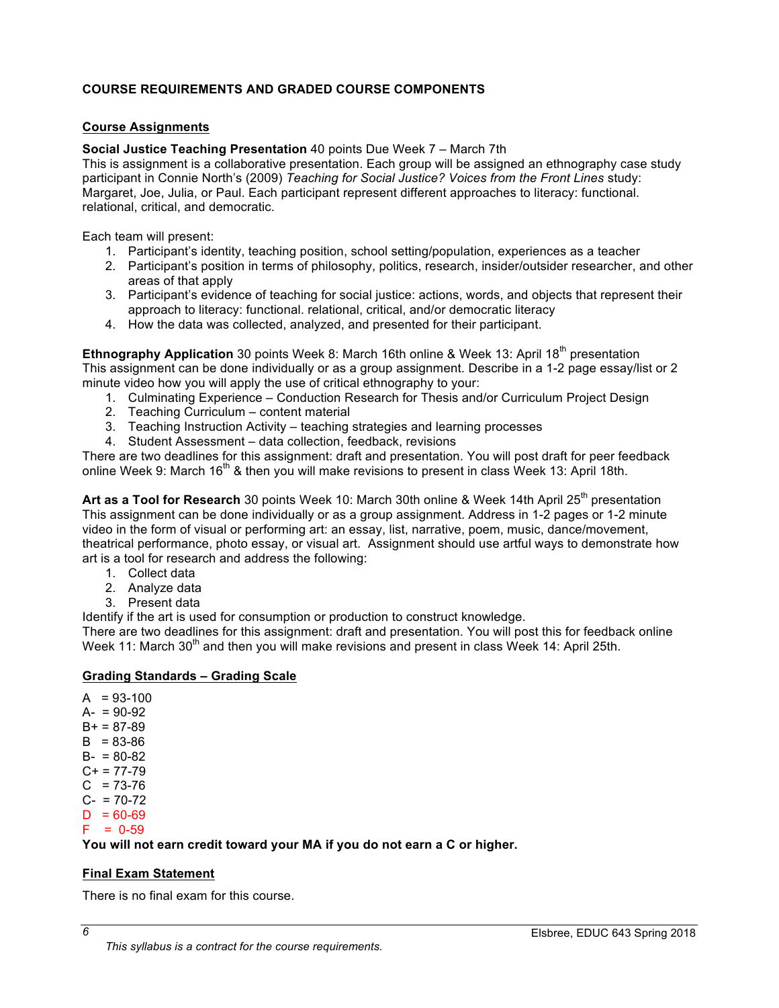## <span id="page-7-0"></span>**COURSE REQUIREMENTS AND GRADED COURSE COMPONENTS**

#### <span id="page-7-1"></span>**Course Assignments**

#### **Social Justice Teaching Presentation** 40 points Due Week 7 – March 7th

This is assignment is a collaborative presentation. Each group will be assigned an ethnography case study participant in Connie North's (2009) *Teaching for Social Justice? Voices from the Front Lines* study: Margaret, Joe, Julia, or Paul. Each participant represent different approaches to literacy: functional. relational, critical, and democratic.

Each team will present:

- 1. Participant's identity, teaching position, school setting/population, experiences as a teacher
- 2. Participant's position in terms of philosophy, politics, research, insider/outsider researcher, and other areas of that apply
- 3. Participant's evidence of teaching for social justice: actions, words, and objects that represent their approach to literacy: functional. relational, critical, and/or democratic literacy
- 4. How the data was collected, analyzed, and presented for their participant.

**Ethnography Application** 30 points Week 8: March 16th online & Week 13: April 18<sup>th</sup> presentation This assignment can be done individually or as a group assignment. Describe in a 1-2 page essay/list or 2 minute video how you will apply the use of critical ethnography to your:

- 1. Culminating Experience Conduction Research for Thesis and/or Curriculum Project Design
- 2. Teaching Curriculum content material
- 3. Teaching Instruction Activity teaching strategies and learning processes
- 4. Student Assessment data collection, feedback, revisions

There are two deadlines for this assignment: draft and presentation. You will post draft for peer feedback online Week 9: March 16<sup>th</sup> & then you will make revisions to present in class Week 13: April 18th.

**Art as a Tool for Research** 30 points Week 10: March 30th online & Week 14th April 25<sup>th</sup> presentation This assignment can be done individually or as a group assignment. Address in 1-2 pages or 1-2 minute video in the form of visual or performing art: an essay, list, narrative, poem, music, dance/movement, theatrical performance, photo essay, or visual art. Assignment should use artful ways to demonstrate how art is a tool for research and address the following:

- 1. Collect data
- 2. Analyze data
- 3. Present data

Identify if the art is used for consumption or production to construct knowledge.

There are two deadlines for this assignment: draft and presentation. You will post this for feedback online Week 11: March 30<sup>th</sup> and then you will make revisions and present in class Week 14: April 25th.

## <span id="page-7-2"></span>**Grading Standards – Grading Scale**

- $A = 93-100$
- $A- = 90-92$
- $B_{+} = 87 89$
- $B = 83 86$
- $B 80 82$  $C+ = 77-79$
- $C = 73-76$
- $C- = 70-72$
- $D = 60-69$
- $F = 0.59$

**You will not earn credit toward your MA if you do not earn a C or higher.**

## <span id="page-7-3"></span>**Final Exam Statement**

There is no final exam for this course.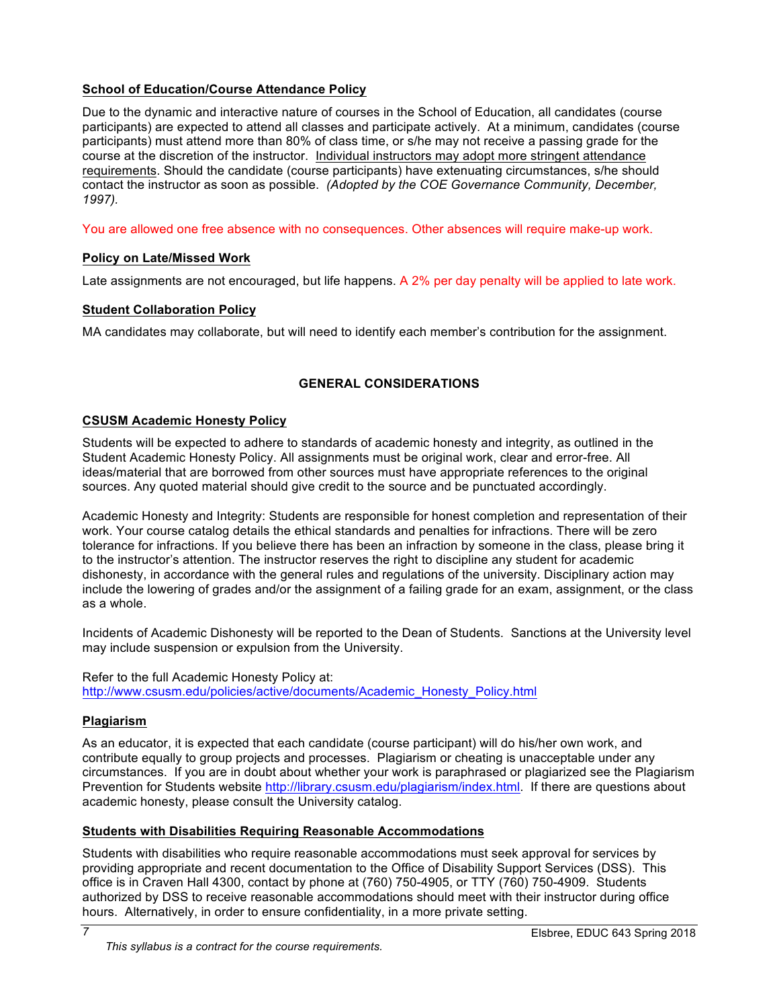## <span id="page-8-0"></span>**School of Education/Course Attendance Policy**

Due to the dynamic and interactive nature of courses in the School of Education, all candidates (course participants) are expected to attend all classes and participate actively. At a minimum, candidates (course participants) must attend more than 80% of class time, or s/he may not receive a passing grade for the course at the discretion of the instructor. Individual instructors may adopt more stringent attendance requirements. Should the candidate (course participants) have extenuating circumstances, s/he should contact the instructor as soon as possible. *(Adopted by the COE Governance Community, December, 1997).*

You are allowed one free absence with no consequences. Other absences will require make-up work.

## <span id="page-8-1"></span>**Policy on Late/Missed Work**

Late assignments are not encouraged, but life happens. A 2% per day penalty will be applied to late work.

#### <span id="page-8-2"></span>**Student Collaboration Policy**

MA candidates may collaborate, but will need to identify each member's contribution for the assignment.

## <span id="page-8-3"></span>**GENERAL CONSIDERATIONS**

#### <span id="page-8-4"></span>**CSUSM Academic Honesty Policy**

Students will be expected to adhere to standards of academic honesty and integrity, as outlined in the Student Academic Honesty Policy. All assignments must be original work, clear and error-free. All ideas/material that are borrowed from other sources must have appropriate references to the original sources. Any quoted material should give credit to the source and be punctuated accordingly.

Academic Honesty and Integrity: Students are responsible for honest completion and representation of their work. Your course catalog details the ethical standards and penalties for infractions. There will be zero tolerance for infractions. If you believe there has been an infraction by someone in the class, please bring it to the instructor's attention. The instructor reserves the right to discipline any student for academic dishonesty, in accordance with the general rules and regulations of the university. Disciplinary action may include the lowering of grades and/or the assignment of a failing grade for an exam, assignment, or the class as a whole.

Incidents of Academic Dishonesty will be reported to the Dean of Students. Sanctions at the University level may include suspension or expulsion from the University.

Refer to the full Academic Honesty Policy at: [http://www.csusm.edu/policies/active/documents/Academic\\_Honesty\\_Policy.html](http://www.csusm.edu/policies/active/documents/Academic_Honesty_Policy.html)

## <span id="page-8-5"></span>**Plagiarism**

*7*

As an educator, it is expected that each candidate (course participant) will do his/her own work, and contribute equally to group projects and processes. Plagiarism or cheating is unacceptable under any circumstances. If you are in doubt about whether your work is paraphrased or plagiarized see the Plagiarism Prevention for Students website [http://library.csusm.edu/plagiarism/index.html.](http://library.csusm.edu/plagiarism/index.html) If there are questions about academic honesty, please consult the University catalog.

#### **Students with Disabilities Requiring Reasonable Accommodations**

Students with disabilities who require reasonable accommodations must seek approval for services by providing appropriate and recent documentation to the Office of Disability Support Services (DSS). This office is in Craven Hall 4300, contact by phone at (760) 750-4905, or TTY (760) 750-4909. Students authorized by DSS to receive reasonable accommodations should meet with their instructor during office hours. Alternatively, in order to ensure confidentiality, in a more private setting.

*This syllabus is a contract for the course requirements.*